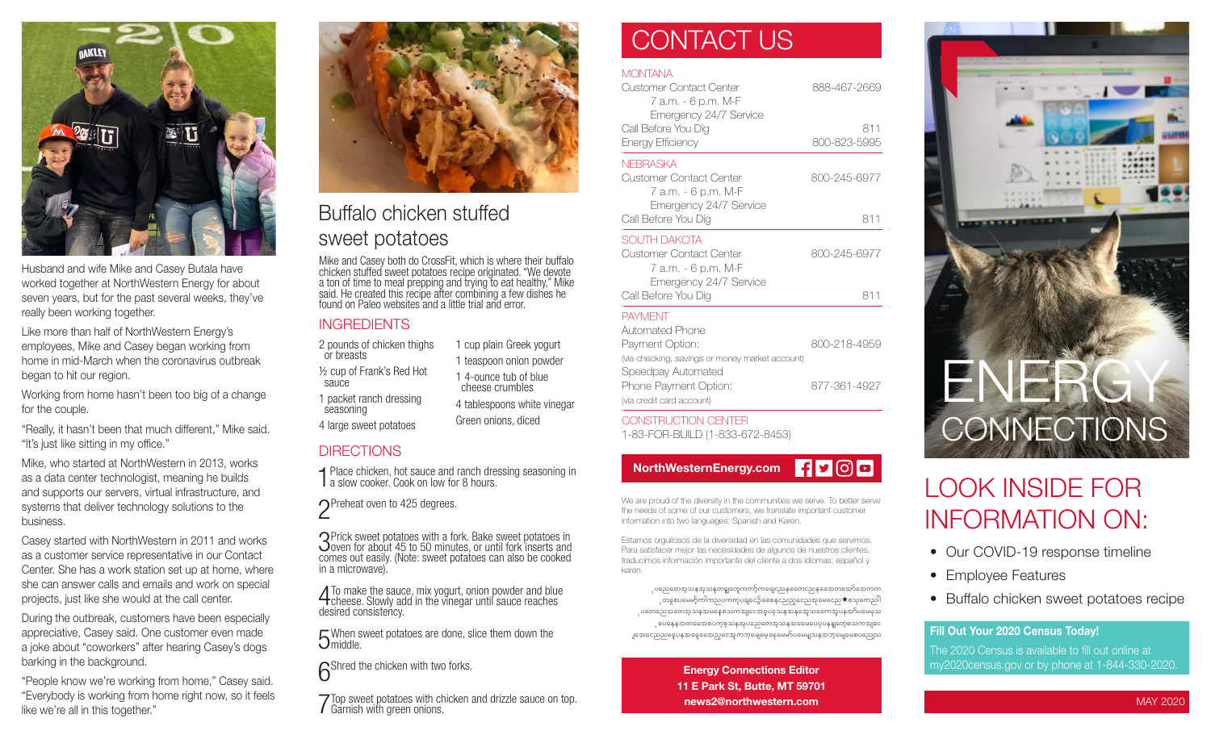

Husband and wife Mike and Casey Butala have worked together at NorthWestern Energy for about seven years, but for the past several weeks, they've really been working together.

Like more than half of NorthWestern Energy's employees, Mike and Casey began working from home in mid-March when the coronavirus outbreak began to hit our region.

Working from home hasn't been too big of a change for the couple.

"Really, it hasn't been that much different," Mike said. "It's just like sitting in my office."

Mike, who started at NorthWestern in 2013, works as a data center technologist, meaning he builds and supports our servers, virtual infrastructure, and systems that deliver technology solutions to the business.

Casey started with NorthWestern in 2011 and works as a customer service representative in our Contact Center. She has a work station set up at home, where she can answer calls and emails and work on special projects, just like she would at the call center.

During the outbreak, customers have been especially appreciative, Casey said. One customer even made a joke about "coworkers" after hearing Casey's dogs barking in the background.

"People know we're working from home," Casey said. "Everybody is working from home right now, so it feels like we're all in this together."



Buffalo chicken stuffed sweet potatoes

Mike and Casey both do CrossFit, which is where their buffalo chicken stuffed sweet potatoes recipe originated. "We devote a ton of time to meal prepping and trying to eat healthy," Mike said. He created this recipe after combining a few dishes he found on Paleo websites and a little trial and error.

> 1 cup plain Greek yogurt 1 teaspoon onion powder 1 4-ounce tub of blue cheese crumbles 4 tablespoons white vinegar Green onions, diced

### **INGREDIENTS**

2 pounds of chicken thighs or breasts ½ cup of Frank's Red Hot sauce 1 packet ranch dressing

seasoning 4 large sweet potatoes

#### **DIRECTIONS**

1 Place chicken, hot sauce and ranch dressing seasoning in a slow cooker. Cook on low for 8 hours.

◯Preheat oven to 425 degrees.

3Prick sweet potatoes with a fork. Bake sweet potatoes in  $\Delta$  oven for about 45 to 50 minutes, or until fork inserts and comes out easily. (Note: sweet potatoes can also be cooked in a microwave).

4To make the sauce, mix yogurt, onion powder and blue cheese. Slowly add in the vinegar until sauce reaches desired consistency.

 $\sqrt{2}$  When sweet potatoes are done, slice them down the Umiddle.

**6**Shred the chicken with two forks.

7Top sweet potatoes with chicken and drizzle sauce on top. Garnish with green onions.

## CONTACT US

### **MONTANA**

| <b>Customer Contact Center</b><br>7 a.m. - 6 p.m. M-F<br>Emergency 24/7 Service | 888-467-2669 |
|---------------------------------------------------------------------------------|--------------|
| Call Before You Dig                                                             | 811          |
| Energy Efficiency                                                               | 800-823-5995 |
| <b>NEBRASKA</b>                                                                 |              |
| Customer Contact Center<br>7 а.т. - 6 p.m. М-F                                  | 800-245-6977 |
| Emergency 24/7 Service<br>Call Before You Dig                                   | 811          |
| SOUTH DAKOTA                                                                    |              |
| Customer Contact Center<br>7 а.т. - 6 p.m. М-F                                  | 800-245-6977 |
| Emergency 24/7 Service<br>Call Before You Dig                                   | 811          |
| <b>PAYMENT</b>                                                                  |              |
| Automated Phone                                                                 |              |
| Payment Option:<br>fuia checking savings or money market account)               | 800-218-4959 |



CONSTRUCTION CENTER 1-83-FOR-BUILD (1-833-672-8453)



We are proud of the diversity in the communities we serve. To better serve the needs of some of our customers, we translate important customer information into two languages: Spanish and Karen.

Estamos orgullosos de la diversidad en las comunidades que servimos. Para satisfacer mejor las necesidades de algunos de nuestros clientes, traducimos información importante del cliente a dos idiomas: español y karen.

ုပညေတေအ့သနအသနတရူတှေကကာ့်ကရေငညနထေောငညနထေောတအော်အောကက ုတနှစပမေမာ့်ကါကညပကကုပရျငော့်ခစေနှငညည့္ေညအှမေငေည $\bigstar$ စသုကေညါါ ုပတေညေအတေအ့သနအမနေစသကအျငေအဓူပခဲ့သနအနအေ့သရောအူပနအာ်ပမေမှသ ့စပနေနအတတေောစပက္စစ္သာနအုပညေတေအ့သနအဓေမပေပုပနန္ျတေ့စသကအျငေ ျအေငေညညငွေပနအနေ့ခေအည့်ငွေအကဘုမျေမေ့ခနမေမှာ်ပမေမျှသနအဘုမျေမေစပညျေသ

> Energy Connections Editor 11 E Park St, Butte, MT 59701 news2@northwestern.com



# LOOK INSIDE FOR INFORMATION ON:

- Our COVID-19 response timeline
- Employee Features
- Buffalo chicken sweet potatoes recipe

#### Fill Out Your 2020 Census Today!

The 2020 Census is available to fill out online at my2020census.gov or by phone at 1-844-330-2020.